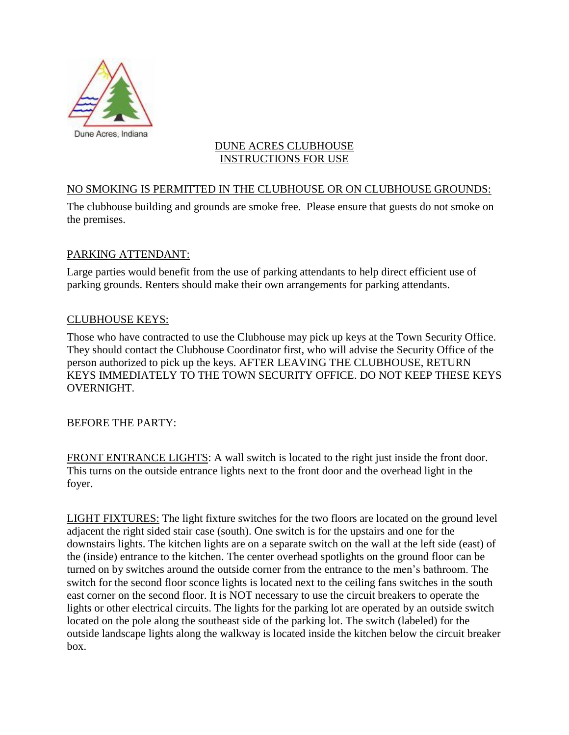

#### DUNE ACRES CLUBHOUSE INSTRUCTIONS FOR USE

# NO SMOKING IS PERMITTED IN THE CLUBHOUSE OR ON CLUBHOUSE GROUNDS:

The clubhouse building and grounds are smoke free. Please ensure that guests do not smoke on the premises.

#### PARKING ATTENDANT:

Large parties would benefit from the use of parking attendants to help direct efficient use of parking grounds. Renters should make their own arrangements for parking attendants.

#### CLUBHOUSE KEYS:

Those who have contracted to use the Clubhouse may pick up keys at the Town Security Office. They should contact the Clubhouse Coordinator first, who will advise the Security Office of the person authorized to pick up the keys. AFTER LEAVING THE CLUBHOUSE, RETURN KEYS IMMEDIATELY TO THE TOWN SECURITY OFFICE. DO NOT KEEP THESE KEYS OVERNIGHT.

#### BEFORE THE PARTY:

FRONT ENTRANCE LIGHTS: A wall switch is located to the right just inside the front door. This turns on the outside entrance lights next to the front door and the overhead light in the foyer.

LIGHT FIXTURES: The light fixture switches for the two floors are located on the ground level adjacent the right sided stair case (south). One switch is for the upstairs and one for the downstairs lights. The kitchen lights are on a separate switch on the wall at the left side (east) of the (inside) entrance to the kitchen. The center overhead spotlights on the ground floor can be turned on by switches around the outside corner from the entrance to the men's bathroom. The switch for the second floor sconce lights is located next to the ceiling fans switches in the south east corner on the second floor. It is NOT necessary to use the circuit breakers to operate the lights or other electrical circuits. The lights for the parking lot are operated by an outside switch located on the pole along the southeast side of the parking lot. The switch (labeled) for the outside landscape lights along the walkway is located inside the kitchen below the circuit breaker box.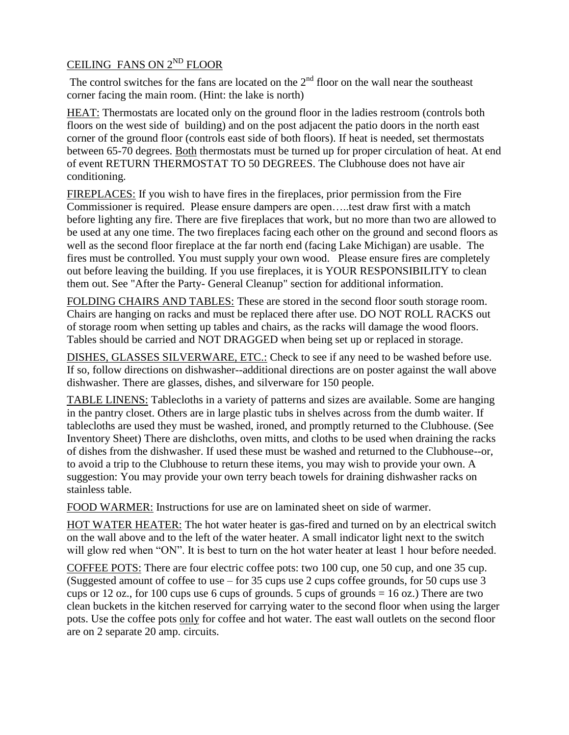# CEILING FANS ON 2ND FLOOR

The control switches for the fans are located on the  $2<sup>nd</sup>$  floor on the wall near the southeast corner facing the main room. (Hint: the lake is north)

HEAT: Thermostats are located only on the ground floor in the ladies restroom (controls both floors on the west side of building) and on the post adjacent the patio doors in the north east corner of the ground floor (controls east side of both floors). If heat is needed, set thermostats between 65-70 degrees. Both thermostats must be turned up for proper circulation of heat. At end of event RETURN THERMOSTAT TO 50 DEGREES. The Clubhouse does not have air conditioning.

FIREPLACES: If you wish to have fires in the fireplaces, prior permission from the Fire Commissioner is required. Please ensure dampers are open…..test draw first with a match before lighting any fire. There are five fireplaces that work, but no more than two are allowed to be used at any one time. The two fireplaces facing each other on the ground and second floors as well as the second floor fireplace at the far north end (facing Lake Michigan) are usable. The fires must be controlled. You must supply your own wood. Please ensure fires are completely out before leaving the building. If you use fireplaces, it is YOUR RESPONSIBILITY to clean them out. See "After the Party- General Cleanup" section for additional information.

FOLDING CHAIRS AND TABLES: These are stored in the second floor south storage room. Chairs are hanging on racks and must be replaced there after use. DO NOT ROLL RACKS out of storage room when setting up tables and chairs, as the racks will damage the wood floors. Tables should be carried and NOT DRAGGED when being set up or replaced in storage.

DISHES, GLASSES SILVERWARE, ETC.: Check to see if any need to be washed before use. If so, follow directions on dishwasher--additional directions are on poster against the wall above dishwasher. There are glasses, dishes, and silverware for 150 people.

TABLE LINENS: Tablecloths in a variety of patterns and sizes are available. Some are hanging in the pantry closet. Others are in large plastic tubs in shelves across from the dumb waiter. If tablecloths are used they must be washed, ironed, and promptly returned to the Clubhouse. (See Inventory Sheet) There are dishcloths, oven mitts, and cloths to be used when draining the racks of dishes from the dishwasher. If used these must be washed and returned to the Clubhouse--or, to avoid a trip to the Clubhouse to return these items, you may wish to provide your own. A suggestion: You may provide your own terry beach towels for draining dishwasher racks on stainless table.

FOOD WARMER: Instructions for use are on laminated sheet on side of warmer.

HOT WATER HEATER: The hot water heater is gas-fired and turned on by an electrical switch on the wall above and to the left of the water heater. A small indicator light next to the switch will glow red when "ON". It is best to turn on the hot water heater at least 1 hour before needed.

COFFEE POTS: There are four electric coffee pots: two 100 cup, one 50 cup, and one 35 cup. (Suggested amount of coffee to use – for 35 cups use 2 cups coffee grounds, for 50 cups use 3 cups or 12 oz., for 100 cups use 6 cups of grounds. 5 cups of grounds  $= 16$  oz.) There are two clean buckets in the kitchen reserved for carrying water to the second floor when using the larger pots. Use the coffee pots only for coffee and hot water. The east wall outlets on the second floor are on 2 separate 20 amp. circuits.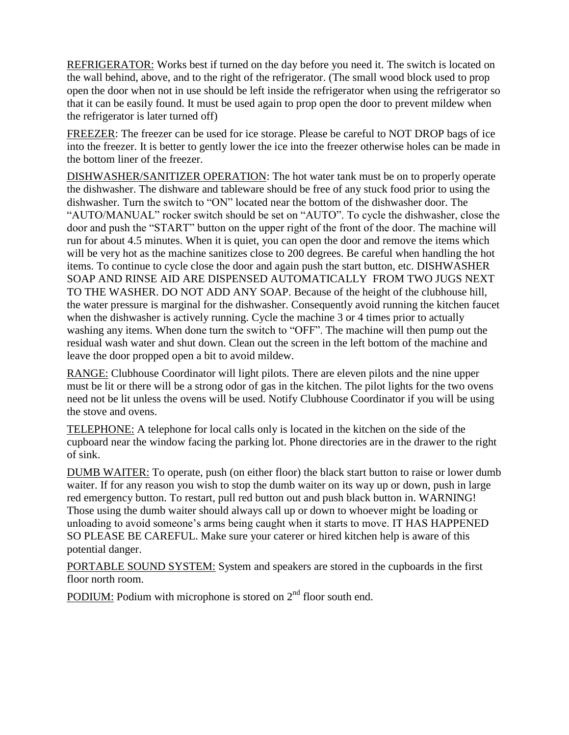REFRIGERATOR: Works best if turned on the day before you need it. The switch is located on the wall behind, above, and to the right of the refrigerator. (The small wood block used to prop open the door when not in use should be left inside the refrigerator when using the refrigerator so that it can be easily found. It must be used again to prop open the door to prevent mildew when the refrigerator is later turned off)

FREEZER: The freezer can be used for ice storage. Please be careful to NOT DROP bags of ice into the freezer. It is better to gently lower the ice into the freezer otherwise holes can be made in the bottom liner of the freezer.

DISHWASHER/SANITIZER OPERATION: The hot water tank must be on to properly operate the dishwasher. The dishware and tableware should be free of any stuck food prior to using the dishwasher. Turn the switch to "ON" located near the bottom of the dishwasher door. The "AUTO/MANUAL" rocker switch should be set on "AUTO". To cycle the dishwasher, close the door and push the "START" button on the upper right of the front of the door. The machine will run for about 4.5 minutes. When it is quiet, you can open the door and remove the items which will be very hot as the machine sanitizes close to 200 degrees. Be careful when handling the hot items. To continue to cycle close the door and again push the start button, etc. DISHWASHER SOAP AND RINSE AID ARE DISPENSED AUTOMATICALLY FROM TWO JUGS NEXT TO THE WASHER. DO NOT ADD ANY SOAP. Because of the height of the clubhouse hill, the water pressure is marginal for the dishwasher. Consequently avoid running the kitchen faucet when the dishwasher is actively running. Cycle the machine 3 or 4 times prior to actually washing any items. When done turn the switch to "OFF". The machine will then pump out the residual wash water and shut down. Clean out the screen in the left bottom of the machine and leave the door propped open a bit to avoid mildew.

RANGE: Clubhouse Coordinator will light pilots. There are eleven pilots and the nine upper must be lit or there will be a strong odor of gas in the kitchen. The pilot lights for the two ovens need not be lit unless the ovens will be used. Notify Clubhouse Coordinator if you will be using the stove and ovens.

TELEPHONE: A telephone for local calls only is located in the kitchen on the side of the cupboard near the window facing the parking lot. Phone directories are in the drawer to the right of sink.

DUMB WAITER: To operate, push (on either floor) the black start button to raise or lower dumb waiter. If for any reason you wish to stop the dumb waiter on its way up or down, push in large red emergency button. To restart, pull red button out and push black button in. WARNING! Those using the dumb waiter should always call up or down to whoever might be loading or unloading to avoid someone's arms being caught when it starts to move. IT HAS HAPPENED SO PLEASE BE CAREFUL. Make sure your caterer or hired kitchen help is aware of this potential danger.

PORTABLE SOUND SYSTEM: System and speakers are stored in the cupboards in the first floor north room.

PODIUM: Podium with microphone is stored on  $2<sup>nd</sup>$  floor south end.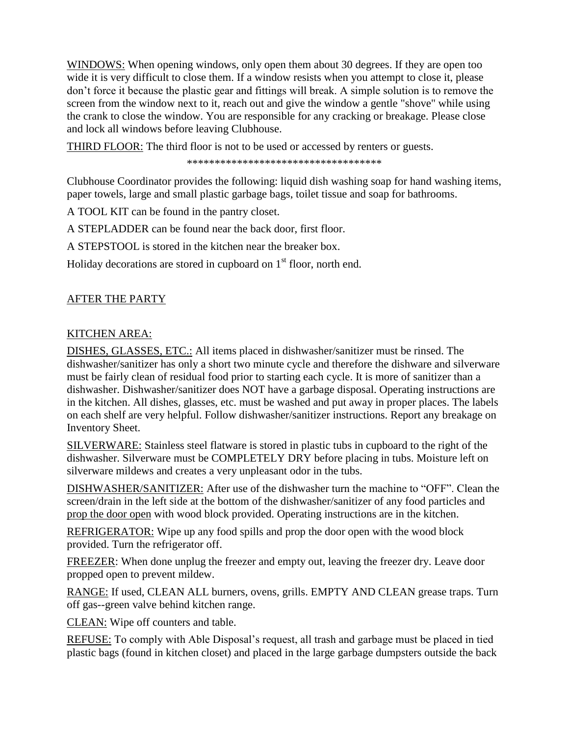WINDOWS: When opening windows, only open them about 30 degrees. If they are open too wide it is very difficult to close them. If a window resists when you attempt to close it, please don't force it because the plastic gear and fittings will break. A simple solution is to remove the screen from the window next to it, reach out and give the window a gentle "shove" while using the crank to close the window. You are responsible for any cracking or breakage. Please close and lock all windows before leaving Clubhouse.

THIRD FLOOR: The third floor is not to be used or accessed by renters or guests.

\*\*\*\*\*\*\*\*\*\*\*\*\*\*\*\*\*\*\*\*\*\*\*\*\*\*\*\*\*\*\*\*\*\*\*

Clubhouse Coordinator provides the following: liquid dish washing soap for hand washing items, paper towels, large and small plastic garbage bags, toilet tissue and soap for bathrooms.

A TOOL KIT can be found in the pantry closet.

A STEPLADDER can be found near the back door, first floor.

A STEPSTOOL is stored in the kitchen near the breaker box.

Holiday decorations are stored in cupboard on  $1<sup>st</sup>$  floor, north end.

# AFTER THE PARTY

# KITCHEN AREA:

DISHES, GLASSES, ETC.: All items placed in dishwasher/sanitizer must be rinsed. The dishwasher/sanitizer has only a short two minute cycle and therefore the dishware and silverware must be fairly clean of residual food prior to starting each cycle. It is more of sanitizer than a dishwasher. Dishwasher/sanitizer does NOT have a garbage disposal. Operating instructions are in the kitchen. All dishes, glasses, etc. must be washed and put away in proper places. The labels on each shelf are very helpful. Follow dishwasher/sanitizer instructions. Report any breakage on Inventory Sheet.

SILVERWARE: Stainless steel flatware is stored in plastic tubs in cupboard to the right of the dishwasher. Silverware must be COMPLETELY DRY before placing in tubs. Moisture left on silverware mildews and creates a very unpleasant odor in the tubs.

DISHWASHER/SANITIZER: After use of the dishwasher turn the machine to "OFF". Clean the screen/drain in the left side at the bottom of the dishwasher/sanitizer of any food particles and prop the door open with wood block provided. Operating instructions are in the kitchen.

REFRIGERATOR: Wipe up any food spills and prop the door open with the wood block provided. Turn the refrigerator off.

FREEZER: When done unplug the freezer and empty out, leaving the freezer dry. Leave door propped open to prevent mildew.

RANGE: If used, CLEAN ALL burners, ovens, grills. EMPTY AND CLEAN grease traps. Turn off gas--green valve behind kitchen range.

CLEAN: Wipe off counters and table.

REFUSE: To comply with Able Disposal's request, all trash and garbage must be placed in tied plastic bags (found in kitchen closet) and placed in the large garbage dumpsters outside the back